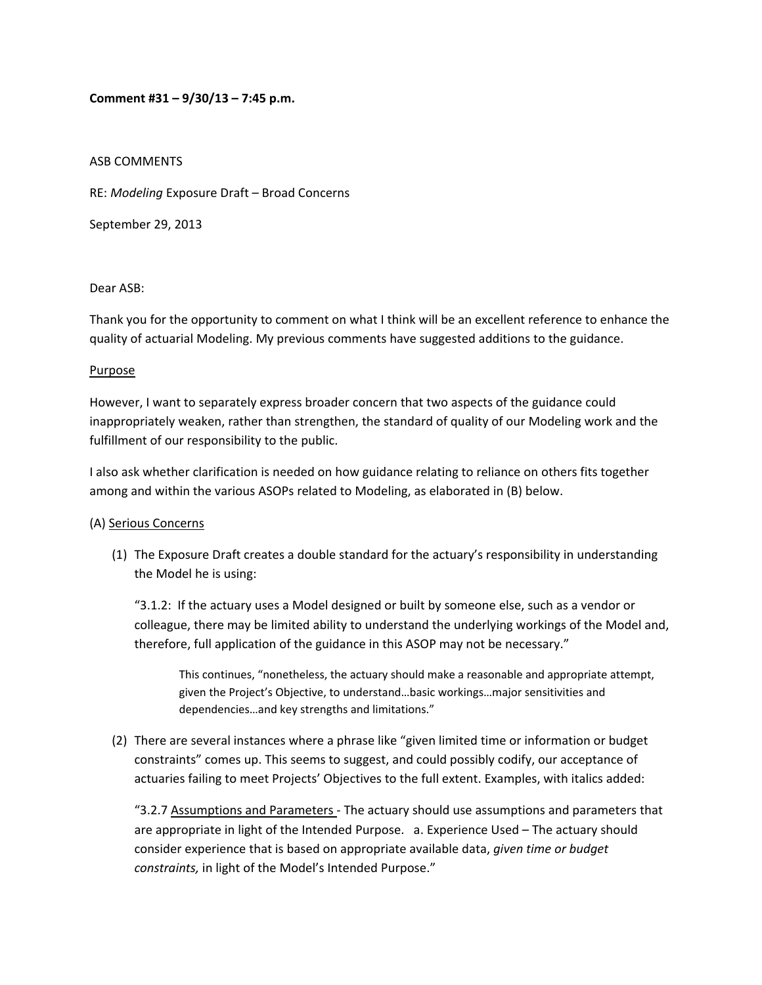### **Comment #31 – 9/30/13 – 7:45 p.m.**

### ASB COMMENTS

RE: *Modeling* Exposure Draft – Broad Concerns

September 29, 2013

### Dear ASB:

Thank you for the opportunity to comment on what I think will be an excellent reference to enhance the quality of actuarial Modeling. My previous comments have suggested additions to the guidance.

#### Purpose

However, I want to separately express broader concern that two aspects of the guidance could inappropriately weaken, rather than strengthen, the standard of quality of our Modeling work and the fulfillment of our responsibility to the public.

I also ask whether clarification is needed on how guidance relating to reliance on others fits together among and within the various ASOPs related to Modeling, as elaborated in (B) below.

### (A) Serious Concerns

(1) The Exposure Draft creates a double standard for the actuary's responsibility in understanding the Model he is using:

"3.1.2: If the actuary uses a Model designed or built by someone else, such as a vendor or colleague, there may be limited ability to understand the underlying workings of the Model and, therefore, full application of the guidance in this ASOP may not be necessary."

This continues, "nonetheless, the actuary should make a reasonable and appropriate attempt, given the Project's Objective, to understand…basic workings…major sensitivities and dependencies…and key strengths and limitations."

(2) There are several instances where a phrase like "given limited time or information or budget constraints" comes up. This seems to suggest, and could possibly codify, our acceptance of actuaries failing to meet Projects' Objectives to the full extent. Examples, with italics added:

"3.2.7 Assumptions and Parameters - The actuary should use assumptions and parameters that are appropriate in light of the Intended Purpose. a. Experience Used – The actuary should consider experience that is based on appropriate available data, *given time or budget constraints,* in light of the Model's Intended Purpose."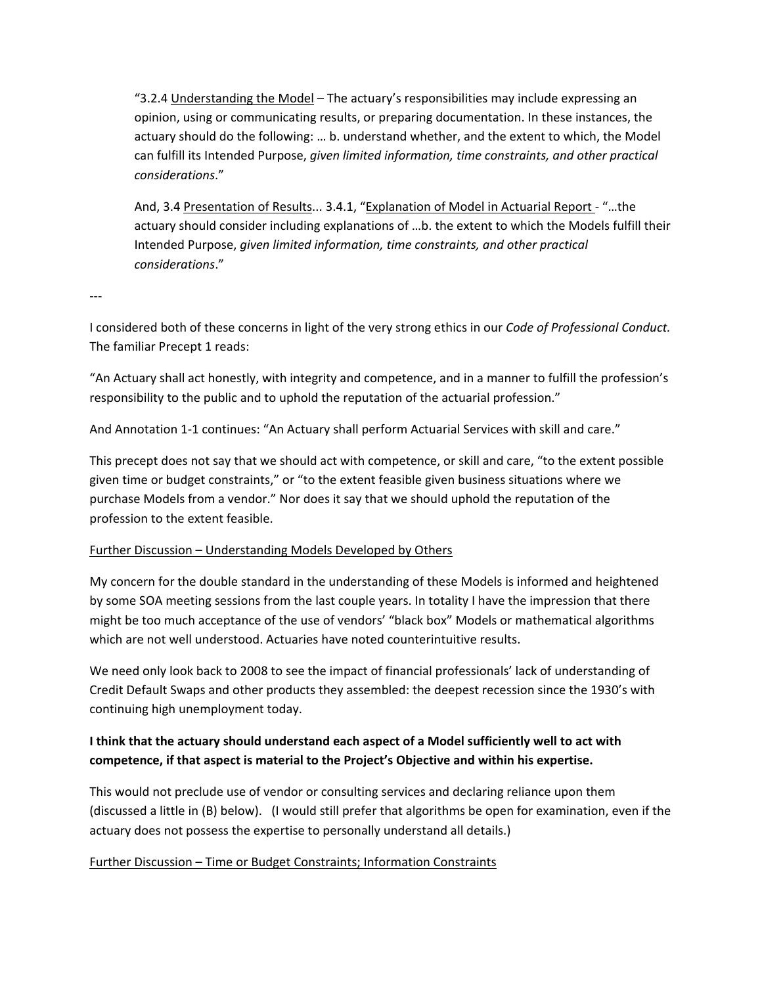"3.2.4 Understanding the Model – The actuary's responsibilities may include expressing an opinion, using or communicating results, or preparing documentation. In these instances, the actuary should do the following: … b. understand whether, and the extent to which, the Model can fulfill its Intended Purpose, *given limited information, time constraints, and other practical considerations*."

And, 3.4 Presentation of Results... 3.4.1, "Explanation of Model in Actuarial Report ‐ "…the actuary should consider including explanations of …b. the extent to which the Models fulfill their Intended Purpose, *given limited information, time constraints, and other practical considerations*."

‐‐‐

I considered both of these concerns in light of the very strong ethics in our *Code of Professional Conduct.* The familiar Precept 1 reads:

"An Actuary shall act honestly, with integrity and competence, and in a manner to fulfill the profession's responsibility to the public and to uphold the reputation of the actuarial profession."

And Annotation 1‐1 continues: "An Actuary shall perform Actuarial Services with skill and care."

This precept does not say that we should act with competence, or skill and care, "to the extent possible given time or budget constraints," or "to the extent feasible given business situations where we purchase Models from a vendor." Nor does it say that we should uphold the reputation of the profession to the extent feasible.

### Further Discussion – Understanding Models Developed by Others

My concern for the double standard in the understanding of these Models is informed and heightened by some SOA meeting sessions from the last couple years. In totality I have the impression that there might be too much acceptance of the use of vendors' "black box" Models or mathematical algorithms which are not well understood. Actuaries have noted counterintuitive results.

We need only look back to 2008 to see the impact of financial professionals' lack of understanding of Credit Default Swaps and other products they assembled: the deepest recession since the 1930's with continuing high unemployment today.

## **I think that the actuary should understand each aspect of a Model sufficiently well to act with competence, if that aspect is material to the Project's Objective and within his expertise.**

This would not preclude use of vendor or consulting services and declaring reliance upon them (discussed a little in (B) below). (I would still prefer that algorithms be open for examination, even if the actuary does not possess the expertise to personally understand all details.)

### Further Discussion – Time or Budget Constraints; Information Constraints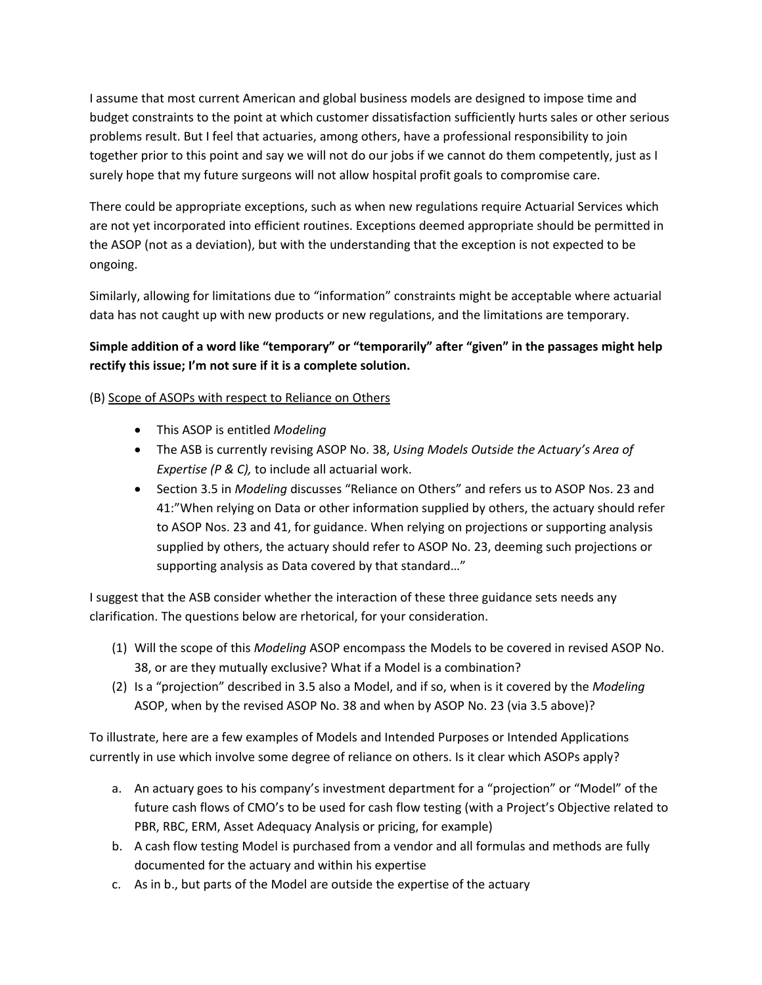I assume that most current American and global business models are designed to impose time and budget constraints to the point at which customer dissatisfaction sufficiently hurts sales or other serious problems result. But I feel that actuaries, among others, have a professional responsibility to join together prior to this point and say we will not do our jobs if we cannot do them competently, just as I surely hope that my future surgeons will not allow hospital profit goals to compromise care.

There could be appropriate exceptions, such as when new regulations require Actuarial Services which are not yet incorporated into efficient routines. Exceptions deemed appropriate should be permitted in the ASOP (not as a deviation), but with the understanding that the exception is not expected to be ongoing.

Similarly, allowing for limitations due to "information" constraints might be acceptable where actuarial data has not caught up with new products or new regulations, and the limitations are temporary.

# **Simple addition of a word like "temporary" or "temporarily" after "given" in the passages might help rectify this issue; I'm not sure if it is a complete solution.**

## (B) Scope of ASOPs with respect to Reliance on Others

- This ASOP is entitled *Modeling*
- The ASB is currently revising ASOP No. 38, *Using Models Outside the Actuary's Area of Expertise (P & C),* to include all actuarial work.
- Section 3.5 in *Modeling* discusses "Reliance on Others" and refers us to ASOP Nos. 23 and 41:"When relying on Data or other information supplied by others, the actuary should refer to ASOP Nos. 23 and 41, for guidance. When relying on projections or supporting analysis supplied by others, the actuary should refer to ASOP No. 23, deeming such projections or supporting analysis as Data covered by that standard…"

I suggest that the ASB consider whether the interaction of these three guidance sets needs any clarification. The questions below are rhetorical, for your consideration.

- (1) Will the scope of this *Modeling* ASOP encompass the Models to be covered in revised ASOP No. 38, or are they mutually exclusive? What if a Model is a combination?
- (2) Is a "projection" described in 3.5 also a Model, and if so, when is it covered by the *Modeling* ASOP, when by the revised ASOP No. 38 and when by ASOP No. 23 (via 3.5 above)?

To illustrate, here are a few examples of Models and Intended Purposes or Intended Applications currently in use which involve some degree of reliance on others. Is it clear which ASOPs apply?

- a. An actuary goes to his company's investment department for a "projection" or "Model" of the future cash flows of CMO's to be used for cash flow testing (with a Project's Objective related to PBR, RBC, ERM, Asset Adequacy Analysis or pricing, for example)
- b. A cash flow testing Model is purchased from a vendor and all formulas and methods are fully documented for the actuary and within his expertise
- c. As in b., but parts of the Model are outside the expertise of the actuary